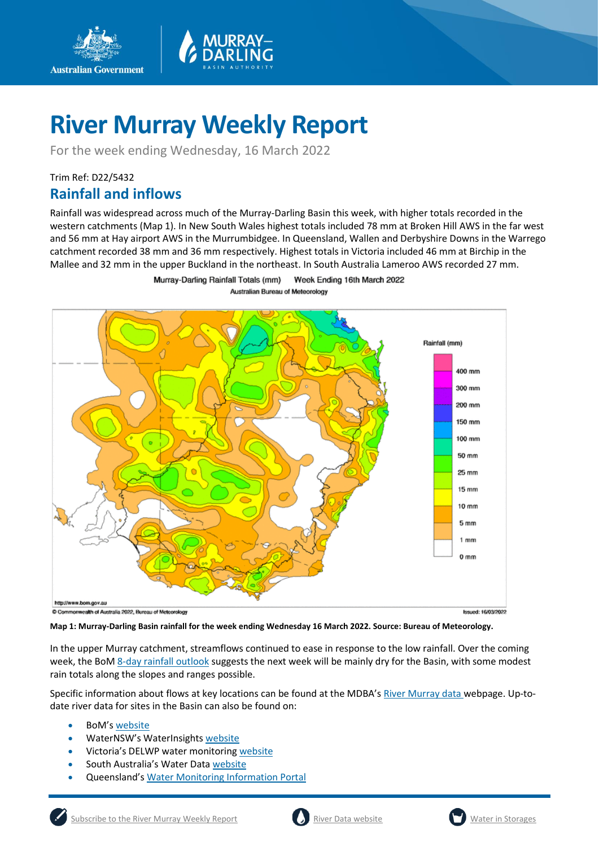

# **River Murray Weekly Report**

For the week ending Wednesday, 16 March 2022

## Trim Ref: D22/5432 **Rainfall and inflows**

**Australian Government** 

Rainfall was widespread across much of the Murray-Darling Basin this week, with higher totals recorded in the western catchments (Map 1). In New South Wales highest totals included 78 mm at Broken Hill AWS in the far west and 56 mm at Hay airport AWS in the Murrumbidgee. In Queensland, Wallen and Derbyshire Downs in the Warrego catchment recorded 38 mm and 36 mm respectively. Highest totals in Victoria included 46 mm at Birchip in the Mallee and 32 mm in the upper Buckland in the northeast. In South Australia Lameroo AWS recorded 27 mm.

> Murray-Darling Rainfall Totals (mm) Week Ending 16th March 2022 Australian Bureau of Meteorology



**Map 1: Murray-Darling Basin rainfall for the week ending Wednesday 16 March 2022. Source: Bureau of Meteorology.**

In the upper Murray catchment, streamflows continued to ease in response to the low rainfall. Over the coming week, the Bo[M 8-day rainfall outlook](http://www.bom.gov.au/jsp/watl/rainfall/pme.jsp) suggests the next week will be mainly dry for the Basin, with some modest rain totals along the slopes and ranges possible.

Specific information about flows at key locations can be found at the MDBA's [River Murray data](https://riverdata.mdba.gov.au/system-view) webpage. Up-todate river data for sites in the Basin can also be found on:

- BoM's [website](http://www.bom.gov.au/cgi-bin/wrap_fwo.pl?IDV60151.html)
- WaterNSW's WaterInsights [website](https://waterinsights.waternsw.com.au/)
- Victoria's DELWP water monitoring [website](https://data.water.vic.gov.au/)
- South Australia's Water Data [website](https://water.data.sa.gov.au/Data/Map/Parameter/NoParameter/Location/Type/Interval/Latest)
- Queensland's [Water Monitoring Information Portal](https://water-monitoring.information.qld.gov.au/)



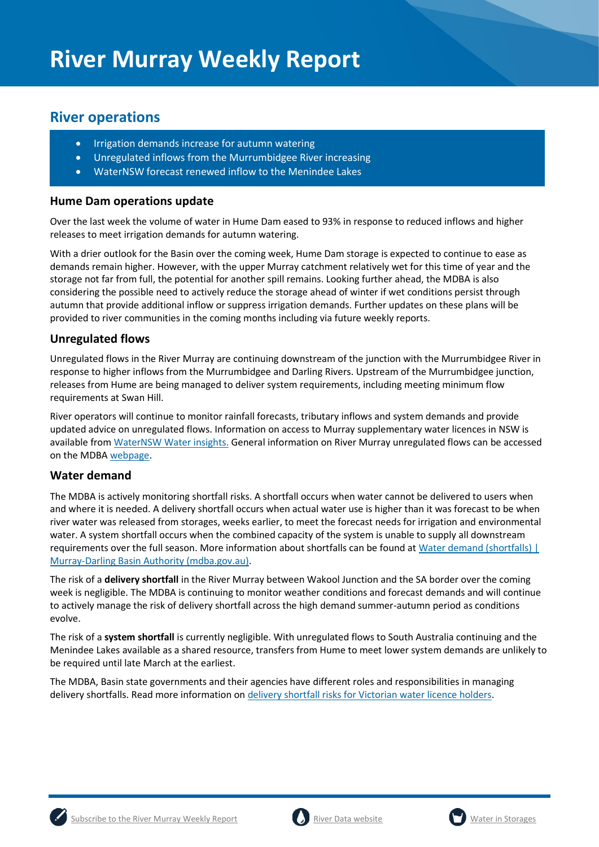## **River operations**

•

- Irrigation demands increase for autumn watering
- Unregulated inflows from the Murrumbidgee River increasing
- WaterNSW forecast renewed inflow to the Menindee Lakes

#### **Hume Dam operations update**

Over the last week the volume of water in Hume Dam eased to 93% in response to reduced inflows and higher releases to meet irrigation demands for autumn watering.

With a drier outlook for the Basin over the coming week, Hume Dam storage is expected to continue to ease as demands remain higher. However, with the upper Murray catchment relatively wet for this time of year and the storage not far from full, the potential for another spill remains. Looking further ahead, the MDBA is also considering the possible need to actively reduce the storage ahead of winter if wet conditions persist through autumn that provide additional inflow or suppress irrigation demands. Further updates on these plans will be provided to river communities in the coming months including via future weekly reports.

#### **Unregulated flows**

Unregulated flows in the River Murray are continuing downstream of the junction with the Murrumbidgee River in response to higher inflows from the Murrumbidgee and Darling Rivers. Upstream of the Murrumbidgee junction, releases from Hume are being managed to deliver system requirements, including meeting minimum flow requirements at Swan Hill.

River operators will continue to monitor rainfall forecasts, tributary inflows and system demands and provide updated advice on unregulated flows. Information on access to Murray supplementary water licences in NSW is available from [WaterNSW Water insights.](https://waterinsights.waternsw.com.au/11904-new-south-wales-murray-regulated-river/updates) General information on River Murray unregulated flows can be accessed on the MDB[A webpage.](https://www.mdba.gov.au/water-management/allocations-states-mdba/unregulated-flows-river-murray)

#### **Water demand**

The MDBA is actively monitoring shortfall risks. A shortfall occurs when water cannot be delivered to users when and where it is needed. A delivery shortfall occurs when actual water use is higher than it was forecast to be when river water was released from storages, weeks earlier, to meet the forecast needs for irrigation and environmental water. A system shortfall occurs when the combined capacity of the system is unable to supply all downstream requirements over the full season. More information about shortfalls can be found at [Water demand \(shortfalls\) |](https://www.mdba.gov.au/water-management/river-operations/water-demand-shortfalls)  [Murray-Darling Basin Authority \(mdba.gov.au\).](https://www.mdba.gov.au/water-management/river-operations/water-demand-shortfalls)

The risk of a **delivery shortfall** in the River Murray between Wakool Junction and the SA border over the coming week is negligible. The MDBA is continuing to monitor weather conditions and forecast demands and will continue to actively manage the risk of delivery shortfall across the high demand summer-autumn period as conditions evolve.

The risk of a **system shortfall** is currently negligible. With unregulated flows to South Australia continuing and the Menindee Lakes available as a shared resource, transfers from Hume to meet lower system demands are unlikely to be required until late March at the earliest.

The MDBA, Basin state governments and their agencies have different roles and responsibilities in managing delivery shortfalls. Read more information on [delivery shortfall risks for Victorian water licence holders.](https://www.waterregister.vic.gov.au/about/news/366-new-fact-sheets-on-shortfalls-in-the-murray-below-barmah-2)





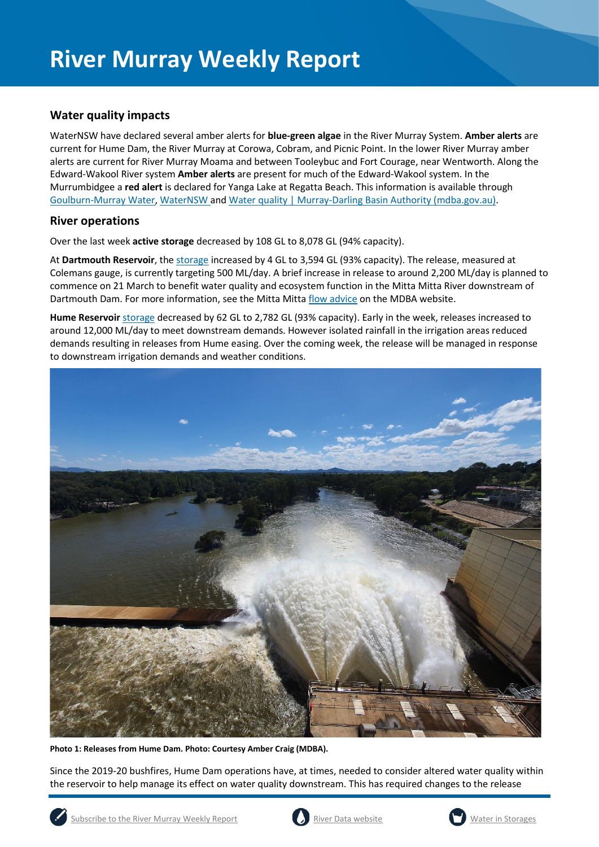## **Water quality impacts**

WaterNSW have declared several amber alerts for **blue-green algae** in the River Murray System. **Amber alerts** are current for Hume Dam, the River Murray at Corowa, Cobram, and Picnic Point. In the lower River Murray amber alerts are current for River Murray Moama and between Tooleybuc and Fort Courage, near Wentworth. Along the Edward-Wakool River system **Amber alerts** are present for much of the Edward-Wakool system. In the Murrumbidgee a **red alert** is declared for Yanga Lake at Regatta Beach. This information is available through [Goulburn-Murray Water,](https://www.g-mwater.com.au/news/bga) [WaterNSW](https://www.waternsw.com.au/water-quality/algae) an[d Water quality | Murray-Darling Basin Authority \(mdba.gov.au\).](https://www.mdba.gov.au/water-management/mdbas-river-operations/water-quality)

### **River operations**

Over the last week **active storage** decreased by 108 GL to 8,078 GL (94% capacity).

At **Dartmouth Reservoir**, the [storage](https://riverdata.mdba.gov.au/dartmouth-dam) increased by 4 GL to 3,594 GL (93% capacity). The release, measured at Colemans gauge, is currently targeting 500 ML/day. A brief increase in release to around 2,200 ML/day is planned to commence on 21 March to benefit water quality and ecosystem function in the Mitta Mitta River downstream of Dartmouth Dam. For more information, see the Mitta Mitt[a flow advice](https://www.mdba.gov.au/water-management/murray-darling-reports-data/flow-advice) on the MDBA website.

**Hume Reservoir** [storage](https://livedata.mdba.gov.au/hume-dam) decreased by 62 GL to 2,782 GL (93% capacity). Early in the week, releases increased to around 12,000 ML/day to meet downstream demands. However isolated rainfall in the irrigation areas reduced demands resulting in releases from Hume easing. Over the coming week, the release will be managed in response to downstream irrigation demands and weather conditions.



**Photo 1: Releases from Hume Dam. Photo: Courtesy Amber Craig (MDBA).**

Since the 2019-20 bushfires, Hume Dam operations have, at times, needed to consider altered water quality within the reservoir to help manage its effect on water quality downstream. This has required changes to the release



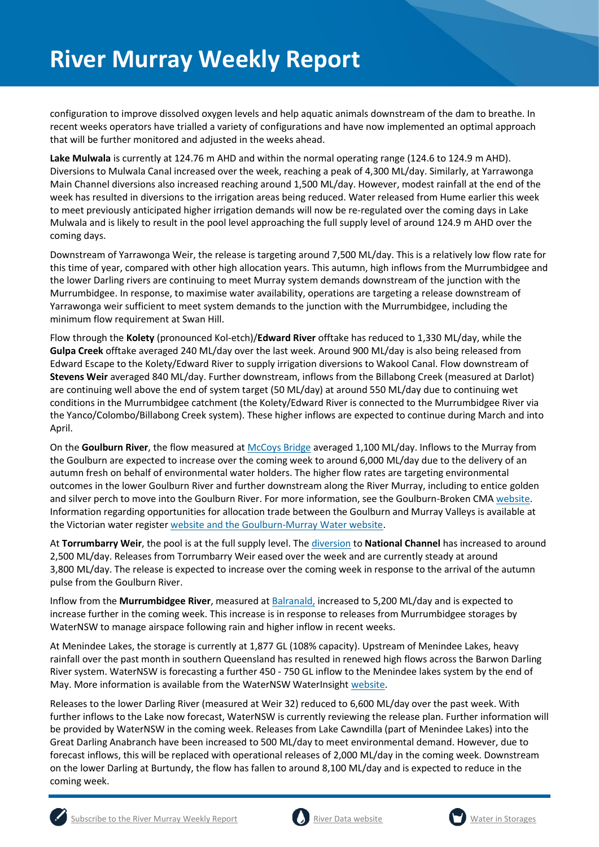configuration to improve dissolved oxygen levels and help aquatic animals downstream of the dam to breathe. In recent weeks operators have trialled a variety of configurations and have now implemented an optimal approach that will be further monitored and adjusted in the weeks ahead.

**Lake Mulwala** is currently at 124.76 m AHD and within the normal operating range (124.6 to 124.9 m AHD). Diversions to Mulwala Canal increased over the week, reaching a peak of 4,300 ML/day. Similarly, at Yarrawonga Main Channel diversions also increased reaching around 1,500 ML/day. However, modest rainfall at the end of the week has resulted in diversions to the irrigation areas being reduced. Water released from Hume earlier this week to meet previously anticipated higher irrigation demands will now be re-regulated over the coming days in Lake Mulwala and is likely to result in the pool level approaching the full supply level of around 124.9 m AHD over the coming days.

Downstream of Yarrawonga Weir, the release is targeting around 7,500 ML/day. This is a relatively low flow rate for this time of year, compared with other high allocation years. This autumn, high inflows from the Murrumbidgee and the lower Darling rivers are continuing to meet Murray system demands downstream of the junction with the Murrumbidgee. In response, to maximise water availability, operations are targeting a release downstream of Yarrawonga weir sufficient to meet system demands to the junction with the Murrumbidgee, including the minimum flow requirement at Swan Hill.

Flow through the **Kolety** (pronounced Kol-etch)/**Edward River** offtake has reduced to 1,330 ML/day, while the **Gulpa Creek** offtake averaged 240 ML/day over the last week. Around 900 ML/day is also being released from Edward Escape to the Kolety/Edward River to supply irrigation diversions to Wakool Canal. Flow downstream of **Stevens Weir** averaged 840 ML/day. Further downstream, inflows from the Billabong Creek (measured at Darlot) are continuing well above the end of system target (50 ML/day) at around 550 ML/day due to continuing wet conditions in the Murrumbidgee catchment (the Kolety/Edward River is connected to the Murrumbidgee River via the Yanco/Colombo/Billabong Creek system). These higher inflows are expected to continue during March and into April.

On the **Goulburn River**, the flow measured at [McCoys Bridge](https://riverdata.mdba.gov.au/mccoy-bridge) averaged 1,100 ML/day. Inflows to the Murray from the Goulburn are expected to increase over the coming week to around 6,000 ML/day due to the delivery of an autumn fresh on behalf of environmental water holders. The higher flow rates are targeting environmental outcomes in the lower Goulburn River and further downstream along the River Murray, including to entice golden and silver perch to move into the Goulburn River. For more information, see the Goulburn-Broken CMA [website.](https://www.gbcma.vic.gov.au/news_events/water-for-the-environment-to-give-fish-new-home-in-lower-goulburn-river.html) Information regarding opportunities for allocation trade between the Goulburn and Murray Valleys is available at the Victorian water registe[r website](http://waterregister.vic.gov.au/water-trading/allocation-trading) and th[e Goulburn-Murray Water website.](https://www.g-mwater.com.au/water-resources/managing-water-storages)

At **Torrumbarry Weir**, the pool is at the full supply level. Th[e diversion](https://riverdata.mdba.gov.au/national-channel-ds-torrumbarry-headworks) to **National Channel** has increased to around 2,500 ML/day. Releases from Torrumbarry Weir eased over the week and are currently steady at around 3,800 ML/day. The release is expected to increase over the coming week in response to the arrival of the autumn pulse from the Goulburn River.

Inflow from the **Murrumbidgee River**, measured a[t Balranald,](https://riverdata.mdba.gov.au/balranald-weir-downstream) increased to 5,200 ML/day and is expected to increase further in the coming week. This increase is in response to releases from Murrumbidgee storages by WaterNSW to manage airspace following rain and higher inflow in recent weeks.

At Menindee Lakes, the storage is currently at 1,877 GL (108% capacity). Upstream of Menindee Lakes, heavy rainfall over the past month in southern Queensland has resulted in renewed high flows across the Barwon Darling River system. WaterNSW is forecasting a further 450 - 750 GL inflow to the Menindee lakes system by the end of May. More information is available from the WaterNSW WaterInsight [website.](https://waterinsights.waternsw.com.au/12104-lower-darling-regulated-river/updates)

Releases to the lower Darling River (measured at Weir 32) reduced to 6,600 ML/day over the past week. With further inflows to the Lake now forecast, WaterNSW is currently reviewing the release plan. Further information will be provided by WaterNSW in the coming week. Releases from Lake Cawndilla (part of Menindee Lakes) into the Great Darling Anabranch have been increased to 500 ML/day to meet environmental demand. However, due to forecast inflows, this will be replaced with operational releases of 2,000 ML/day in the coming week. Downstream on the lower Darling at Burtundy, the flow has fallen to around 8,100 ML/day and is expected to reduce in the coming week.





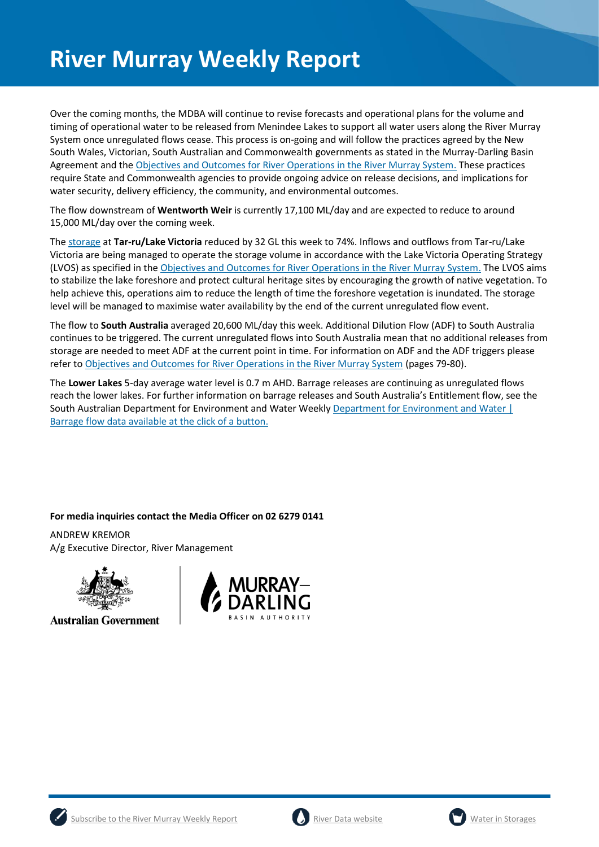# **River Murray Weekly Report**

Over the coming months, the MDBA will continue to revise forecasts and operational plans for the volume and timing of operational water to be released from Menindee Lakes to support all water users along the River Murray System once unregulated flows cease. This process is on-going and will follow the practices agreed by the New South Wales, Victorian, South Australian and Commonwealth governments as stated in the Murray-Darling Basin Agreement and the [Objectives and Outcomes for River Operations in the River Murray System.](https://www.mdba.gov.au/publications/mdba-reports/objectives-outcomes-river-operations-river-murray-system) These practices require State and Commonwealth agencies to provide ongoing advice on release decisions, and implications for water security, delivery efficiency, the community, and environmental outcomes.

The flow downstream of **Wentworth Weir** is currently 17,100 ML/day and are expected to reduce to around 15,000 ML/day over the coming week.

The [storage](https://riverdata.mdba.gov.au/lake-victoria) at **Tar-ru/Lake Victoria** reduced by 32 GL this week to 74%. Inflows and outflows from Tar-ru/Lake Victoria are being managed to operate the storage volume in accordance with the Lake Victoria Operating Strategy (LVOS) as specified in th[e Objectives and Outcomes for River Operations in the River Murray System.](https://www.mdba.gov.au/publications/mdba-reports/objectives-outcomes-river-operations-river-murray-system) The LVOS aims to stabilize the lake foreshore and protect cultural heritage sites by encouraging the growth of native vegetation. To help achieve this, operations aim to reduce the length of time the foreshore vegetation is inundated. The storage level will be managed to maximise water availability by the end of the current unregulated flow event.

The flow to **South Australia** averaged 20,600 ML/day this week. Additional Dilution Flow (ADF) to South Australia continues to be triggered. The current unregulated flows into South Australia mean that no additional releases from storage are needed to meet ADF at the current point in time. For information on ADF and the ADF triggers please refer t[o Objectives and Outcomes for River Operations in the River Murray System](https://www.mdba.gov.au/publications/mdba-reports/objectives-outcomes-river-operations-river-murray-system) (pages 79-80).

The **Lower Lakes** 5-day average water level is 0.7 m AHD. Barrage releases are continuing as unregulated flows reach the lower lakes. For further information on barrage releases and South Australia's Entitlement flow, see the South Australian Department for Environment and Water Weekly [Department for Environment and Water |](https://www.environment.sa.gov.au/news-hub/news/articles/2021/11/Daily-barrage-data)  [Barrage flow data available at the click of a button.](https://www.environment.sa.gov.au/news-hub/news/articles/2021/11/Daily-barrage-data)

#### **For media inquiries contact the Media Officer on 02 6279 0141**

ANDREW KREMOR A/g Executive Director, River Management



**Australian Government** 





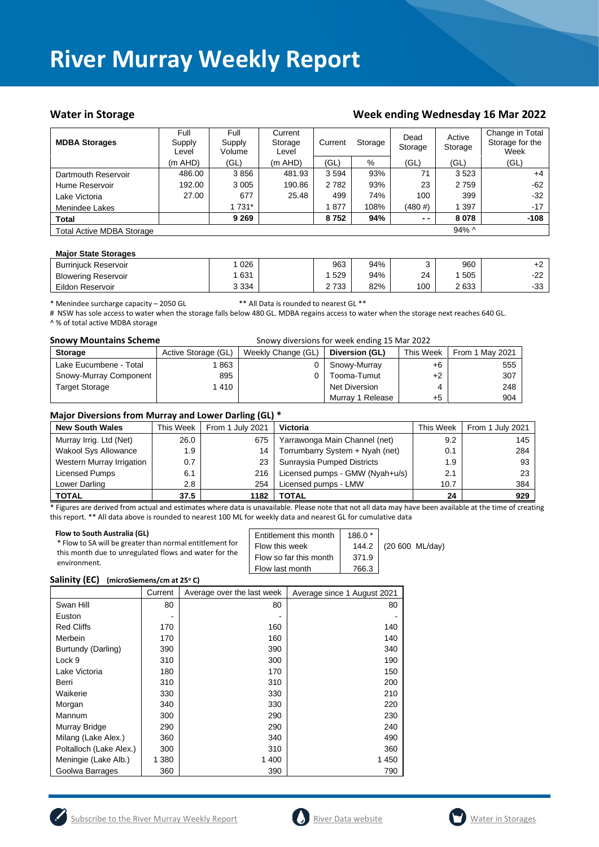## **River Murray Weekly Report**

#### Water in Storage Water in Storage Week ending Wednesday 16 Mar 2022

| <b>MDBA Storages</b>             | Full<br>Supply<br>Level | Full<br>Supply<br>Volume | Current<br>Storage<br>Level | Current | Storage | Dead<br>Storage | Active<br>Storage | Change in Total<br>Storage for the<br>Week |
|----------------------------------|-------------------------|--------------------------|-----------------------------|---------|---------|-----------------|-------------------|--------------------------------------------|
|                                  | $(m$ AHD)               | (GL)                     | $(m$ AHD)                   | (GL)    | %       | (GL)            | (GL)              | (GL)                                       |
| Dartmouth Reservoir              | 486.00                  | 3856                     | 481.93                      | 3 5 9 4 | 93%     | 71              | 3523              | $+4$                                       |
| Hume Reservoir                   | 192.00                  | 3 0 0 5                  | 190.86                      | 2782    | 93%     | 23              | 2 7 5 9           | $-62$                                      |
| Lake Victoria                    | 27.00                   | 677                      | 25.48                       | 499     | 74%     | 100             | 399               | $-32$                                      |
| Menindee Lakes                   |                         | 1 731*                   |                             | 877     | 108%    | $(480 \#)$      | 1 3 9 7           | $-17$                                      |
| <b>Total</b>                     |                         | 9 2 6 9                  |                             | 8752    | 94%     | $ -$            | 8078              | $-108$                                     |
| <b>Total Active MDBA Storage</b> |                         |                          |                             |         |         |                 | $94\%$ ^          |                                            |

#### **Major State Storages**

| <b>Burrinjuck Reservoir</b> | 026     | 963      | 94% |     | 960  | +2           |
|-----------------------------|---------|----------|-----|-----|------|--------------|
| <b>Blowering Reservoir</b>  | 631     | 529      | 94% | 24  | 505  | ົດດ<br>ے ہے۔ |
| Eildon Reservoir            | 3 3 3 4 | 733<br>_ | 82% | 100 | 2633 | າາ<br>-၁၁    |

\* Menindee surcharge capacity – 2050 GL \*\* All Data is rounded to nearest GL \*\*

# NSW has sole access to water when the storage falls below 480 GL. MDBA regains access to water when the storage next reaches 640 GL. ^ % of total active MDBA storage

| <b>Snowy Mountains Scheme</b> |                     | Snowy diversions for week ending 15 Mar 2022 |                  |           |                 |
|-------------------------------|---------------------|----------------------------------------------|------------------|-----------|-----------------|
| <b>Storage</b>                | Active Storage (GL) | Weekly Change (GL)                           | Diversion (GL)   | This Week | From 1 May 2021 |
| Lake Eucumbene - Total        | 863                 |                                              | Snowy-Murray     | $+6$      | 555             |
| Snowy-Murray Component        | 895                 |                                              | Tooma-Tumut      | $+2$      | 307             |
| <b>Target Storage</b>         | 1 410               |                                              | Net Diversion    |           | 248             |
|                               |                     |                                              | Murray 1 Release | $+5$      | 904             |

#### **Major Diversions from Murray and Lower Darling (GL) \***

| <b>New South Wales</b>    | This Week | From 1 July 2021 | Victoria                        | This Week | From 1 July 2021 |
|---------------------------|-----------|------------------|---------------------------------|-----------|------------------|
| Murray Irrig. Ltd (Net)   | 26.0      | 675              | Yarrawonga Main Channel (net)   | 9.2       | 145              |
| Wakool Sys Allowance      | 1.9       | 14               | Torrumbarry System + Nyah (net) | 0.1       | 284              |
| Western Murray Irrigation | 0.7       | 23               | Sunraysia Pumped Districts      | 1.9       | 93               |
| Licensed Pumps            | 6.1       | 216              | Licensed pumps - GMW (Nyah+u/s) | 2.1       | 23               |
| Lower Darling             | 2.8       | 254              | Licensed pumps - LMW            | 10.7      | 384              |
| <b>TOTAL</b>              | 37.5      | 1182             | TOTAL                           | 24        | 929              |

\* Figures are derived from actual and estimates where data is unavailable. Please note that not all data may have been available at the time of creating this report. \*\* All data above is rounded to nearest 100 ML for weekly data and nearest GL for cumulative data

| Flow to South Australia (GL)                             | Entitlement this month | 186.0 * | (20 600 ML/day) |
|----------------------------------------------------------|------------------------|---------|-----------------|
| * Flow to SA will be greater than normal entitlement for | Flow this week         | 144.2   |                 |
| this month due to unregulated flows and water for the    | Flow so far this month | 371.9   |                 |
| environment.                                             | Flow last month        | 766.3   |                 |

#### **Salinity (EC) (microSiemens/cm at 25<sup>o</sup> C)**

|                         | Current | Average over the last week | Average since 1 August 2021 |
|-------------------------|---------|----------------------------|-----------------------------|
| Swan Hill               | 80      | 80                         | 80                          |
| Euston                  |         |                            |                             |
| <b>Red Cliffs</b>       | 170     | 160                        | 140                         |
| Merbein                 | 170     | 160                        | 140                         |
| Burtundy (Darling)      | 390     | 390                        | 340                         |
| Lock 9                  | 310     | 300                        | 190                         |
| Lake Victoria           | 180     | 170                        | 150                         |
| Berri                   | 310     | 310                        | 200                         |
| Waikerie                | 330     | 330                        | 210                         |
| Morgan                  | 340     | 330                        | 220                         |
| Mannum                  | 300     | 290                        | 230                         |
| Murray Bridge           | 290     | 290                        | 240                         |
| Milang (Lake Alex.)     | 360     | 340                        | 490                         |
| Poltalloch (Lake Alex.) | 300     | 310                        | 360                         |
| Meningie (Lake Alb.)    | 1 380   | 1 400                      | 1450                        |
| Goolwa Barrages         | 360     | 390                        | 790                         |





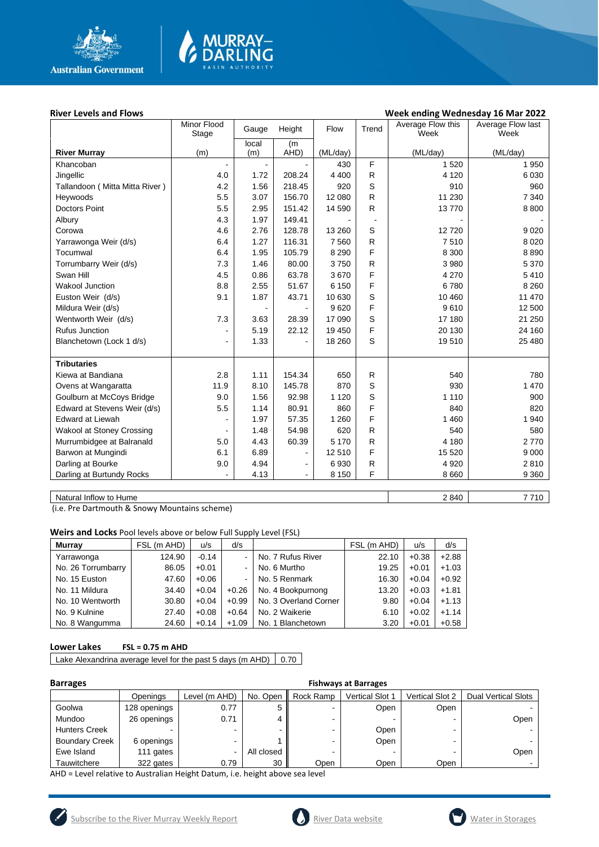

# MURRAY-<br>DARLING

#### River Levels and Flows **River Levels and Flows River Levels and Flows Week ending Wednesday 16 Mar 2022**

| local<br>(m)<br>(ML/day)<br>AHD)<br>(ML/day)<br>(ML/day)<br><b>River Murray</b><br>(m)<br>(m)<br>F<br>Khancoban<br>1 5 2 0<br>1950<br>430<br>R<br>Jingellic<br>208.24<br>4 4 0 0<br>4 1 2 0<br>6 0 3 0<br>4.0<br>1.72<br>S<br>Tallandoon ( Mitta Mitta River )<br>4.2<br>1.56<br>218.45<br>920<br>910<br>960<br>5.5<br>3.07<br>156.70<br>R<br>Heywoods<br>12 080<br>11 230<br>7 3 4 0<br>5.5<br>151.42<br>$\mathsf{R}$<br>13770<br>8 8 0 0<br><b>Doctors Point</b><br>2.95<br>14 590<br>4.3<br>1.97<br>149.41<br>Albury<br>S<br>4.6<br>2.76<br>128.78<br>13 260<br>12720<br>9 0 2 0<br>Corowa<br>116.31<br>$\mathsf{R}$<br>6.4<br>1.27<br>7 5 6 0<br>7510<br>8 0 2 0<br>Yarrawonga Weir (d/s)<br>F<br>6.4<br>105.79<br>8 3 0 0<br>Tocumwal<br>1.95<br>8 2 9 0<br>8890<br>7.3<br>1.46<br>80.00<br>3750<br>$\mathsf{R}$<br>3 9 8 0<br>5 3 7 0<br>Torrumbarry Weir (d/s)<br>F<br>0.86<br>63.78<br>3670<br>4 2 7 0<br>5410<br>Swan Hill<br>4.5<br>F<br><b>Wakool Junction</b><br>8.8<br>2.55<br>8 2 6 0<br>51.67<br>6 150<br>6780<br>$\mathbf S$<br>9.1<br>1.87<br>43.71<br>10 460<br>11 470<br>Euston Weir (d/s)<br>10 630<br>F<br>9610<br>Mildura Weir (d/s)<br>9620<br>12 500<br>S<br>21 250<br>Wentworth Weir (d/s)<br>7.3<br>3.63<br>28.39<br>17 090<br>17 180<br>F<br>5.19<br><b>Rufus Junction</b><br>22.12<br>19 450<br>20 130<br>24 160<br>$\blacksquare$<br>S<br>1.33<br>Blanchetown (Lock 1 d/s)<br>18 260<br>19510<br>25 480<br>$\overline{a}$<br><b>Tributaries</b><br>2.8<br>1.11<br>154.34<br>$\mathsf{R}$<br>540<br>Kiewa at Bandiana<br>650<br>780<br>S<br>11.9<br>8.10<br>145.78<br>870<br>930<br>1 4 7 0<br>Ovens at Wangaratta<br>S<br>Goulburn at McCoys Bridge<br>9.0<br>1.56<br>92.98<br>1 1 2 0<br>1 1 1 0<br>900<br>F<br>Edward at Stevens Weir (d/s)<br>5.5<br>1.14<br>80.91<br>860<br>840<br>820<br>F<br>57.35<br><b>Edward at Liewah</b><br>1.97<br>1 2 6 0<br>1 4 6 0<br>1940<br>${\sf R}$<br>620<br><b>Wakool at Stoney Crossing</b><br>1.48<br>54.98<br>540<br>580<br>$\mathsf{R}$<br>2770<br>Murrumbidgee at Balranald<br>5.0<br>4.43<br>60.39<br>5 1 7 0<br>4 180<br>F<br>6.1<br>6.89<br>15 5 20<br>Barwon at Mungindi<br>12 510<br>9 0 0 0<br>-<br>$\mathsf{R}$<br>Darling at Bourke<br>4.94<br>6930<br>4 9 20<br>2810<br>9.0<br>$\blacksquare$<br>F<br>٠ |                           | Minor Flood<br>Stage | Gauge | Height | Flow    | Trend | Average Flow this<br>Week | Average Flow last<br>Week |
|-----------------------------------------------------------------------------------------------------------------------------------------------------------------------------------------------------------------------------------------------------------------------------------------------------------------------------------------------------------------------------------------------------------------------------------------------------------------------------------------------------------------------------------------------------------------------------------------------------------------------------------------------------------------------------------------------------------------------------------------------------------------------------------------------------------------------------------------------------------------------------------------------------------------------------------------------------------------------------------------------------------------------------------------------------------------------------------------------------------------------------------------------------------------------------------------------------------------------------------------------------------------------------------------------------------------------------------------------------------------------------------------------------------------------------------------------------------------------------------------------------------------------------------------------------------------------------------------------------------------------------------------------------------------------------------------------------------------------------------------------------------------------------------------------------------------------------------------------------------------------------------------------------------------------------------------------------------------------------------------------------------------------------------------------------------------------------------------------------------------------------------------------------------------------------------------------------------------------------------------------------------------------------------------|---------------------------|----------------------|-------|--------|---------|-------|---------------------------|---------------------------|
|                                                                                                                                                                                                                                                                                                                                                                                                                                                                                                                                                                                                                                                                                                                                                                                                                                                                                                                                                                                                                                                                                                                                                                                                                                                                                                                                                                                                                                                                                                                                                                                                                                                                                                                                                                                                                                                                                                                                                                                                                                                                                                                                                                                                                                                                                         |                           |                      |       |        |         |       |                           |                           |
|                                                                                                                                                                                                                                                                                                                                                                                                                                                                                                                                                                                                                                                                                                                                                                                                                                                                                                                                                                                                                                                                                                                                                                                                                                                                                                                                                                                                                                                                                                                                                                                                                                                                                                                                                                                                                                                                                                                                                                                                                                                                                                                                                                                                                                                                                         |                           |                      |       |        |         |       |                           |                           |
|                                                                                                                                                                                                                                                                                                                                                                                                                                                                                                                                                                                                                                                                                                                                                                                                                                                                                                                                                                                                                                                                                                                                                                                                                                                                                                                                                                                                                                                                                                                                                                                                                                                                                                                                                                                                                                                                                                                                                                                                                                                                                                                                                                                                                                                                                         |                           |                      |       |        |         |       |                           |                           |
|                                                                                                                                                                                                                                                                                                                                                                                                                                                                                                                                                                                                                                                                                                                                                                                                                                                                                                                                                                                                                                                                                                                                                                                                                                                                                                                                                                                                                                                                                                                                                                                                                                                                                                                                                                                                                                                                                                                                                                                                                                                                                                                                                                                                                                                                                         |                           |                      |       |        |         |       |                           |                           |
|                                                                                                                                                                                                                                                                                                                                                                                                                                                                                                                                                                                                                                                                                                                                                                                                                                                                                                                                                                                                                                                                                                                                                                                                                                                                                                                                                                                                                                                                                                                                                                                                                                                                                                                                                                                                                                                                                                                                                                                                                                                                                                                                                                                                                                                                                         |                           |                      |       |        |         |       |                           |                           |
|                                                                                                                                                                                                                                                                                                                                                                                                                                                                                                                                                                                                                                                                                                                                                                                                                                                                                                                                                                                                                                                                                                                                                                                                                                                                                                                                                                                                                                                                                                                                                                                                                                                                                                                                                                                                                                                                                                                                                                                                                                                                                                                                                                                                                                                                                         |                           |                      |       |        |         |       |                           |                           |
|                                                                                                                                                                                                                                                                                                                                                                                                                                                                                                                                                                                                                                                                                                                                                                                                                                                                                                                                                                                                                                                                                                                                                                                                                                                                                                                                                                                                                                                                                                                                                                                                                                                                                                                                                                                                                                                                                                                                                                                                                                                                                                                                                                                                                                                                                         |                           |                      |       |        |         |       |                           |                           |
|                                                                                                                                                                                                                                                                                                                                                                                                                                                                                                                                                                                                                                                                                                                                                                                                                                                                                                                                                                                                                                                                                                                                                                                                                                                                                                                                                                                                                                                                                                                                                                                                                                                                                                                                                                                                                                                                                                                                                                                                                                                                                                                                                                                                                                                                                         |                           |                      |       |        |         |       |                           |                           |
|                                                                                                                                                                                                                                                                                                                                                                                                                                                                                                                                                                                                                                                                                                                                                                                                                                                                                                                                                                                                                                                                                                                                                                                                                                                                                                                                                                                                                                                                                                                                                                                                                                                                                                                                                                                                                                                                                                                                                                                                                                                                                                                                                                                                                                                                                         |                           |                      |       |        |         |       |                           |                           |
|                                                                                                                                                                                                                                                                                                                                                                                                                                                                                                                                                                                                                                                                                                                                                                                                                                                                                                                                                                                                                                                                                                                                                                                                                                                                                                                                                                                                                                                                                                                                                                                                                                                                                                                                                                                                                                                                                                                                                                                                                                                                                                                                                                                                                                                                                         |                           |                      |       |        |         |       |                           |                           |
|                                                                                                                                                                                                                                                                                                                                                                                                                                                                                                                                                                                                                                                                                                                                                                                                                                                                                                                                                                                                                                                                                                                                                                                                                                                                                                                                                                                                                                                                                                                                                                                                                                                                                                                                                                                                                                                                                                                                                                                                                                                                                                                                                                                                                                                                                         |                           |                      |       |        |         |       |                           |                           |
|                                                                                                                                                                                                                                                                                                                                                                                                                                                                                                                                                                                                                                                                                                                                                                                                                                                                                                                                                                                                                                                                                                                                                                                                                                                                                                                                                                                                                                                                                                                                                                                                                                                                                                                                                                                                                                                                                                                                                                                                                                                                                                                                                                                                                                                                                         |                           |                      |       |        |         |       |                           |                           |
|                                                                                                                                                                                                                                                                                                                                                                                                                                                                                                                                                                                                                                                                                                                                                                                                                                                                                                                                                                                                                                                                                                                                                                                                                                                                                                                                                                                                                                                                                                                                                                                                                                                                                                                                                                                                                                                                                                                                                                                                                                                                                                                                                                                                                                                                                         |                           |                      |       |        |         |       |                           |                           |
|                                                                                                                                                                                                                                                                                                                                                                                                                                                                                                                                                                                                                                                                                                                                                                                                                                                                                                                                                                                                                                                                                                                                                                                                                                                                                                                                                                                                                                                                                                                                                                                                                                                                                                                                                                                                                                                                                                                                                                                                                                                                                                                                                                                                                                                                                         |                           |                      |       |        |         |       |                           |                           |
|                                                                                                                                                                                                                                                                                                                                                                                                                                                                                                                                                                                                                                                                                                                                                                                                                                                                                                                                                                                                                                                                                                                                                                                                                                                                                                                                                                                                                                                                                                                                                                                                                                                                                                                                                                                                                                                                                                                                                                                                                                                                                                                                                                                                                                                                                         |                           |                      |       |        |         |       |                           |                           |
|                                                                                                                                                                                                                                                                                                                                                                                                                                                                                                                                                                                                                                                                                                                                                                                                                                                                                                                                                                                                                                                                                                                                                                                                                                                                                                                                                                                                                                                                                                                                                                                                                                                                                                                                                                                                                                                                                                                                                                                                                                                                                                                                                                                                                                                                                         |                           |                      |       |        |         |       |                           |                           |
|                                                                                                                                                                                                                                                                                                                                                                                                                                                                                                                                                                                                                                                                                                                                                                                                                                                                                                                                                                                                                                                                                                                                                                                                                                                                                                                                                                                                                                                                                                                                                                                                                                                                                                                                                                                                                                                                                                                                                                                                                                                                                                                                                                                                                                                                                         |                           |                      |       |        |         |       |                           |                           |
|                                                                                                                                                                                                                                                                                                                                                                                                                                                                                                                                                                                                                                                                                                                                                                                                                                                                                                                                                                                                                                                                                                                                                                                                                                                                                                                                                                                                                                                                                                                                                                                                                                                                                                                                                                                                                                                                                                                                                                                                                                                                                                                                                                                                                                                                                         |                           |                      |       |        |         |       |                           |                           |
|                                                                                                                                                                                                                                                                                                                                                                                                                                                                                                                                                                                                                                                                                                                                                                                                                                                                                                                                                                                                                                                                                                                                                                                                                                                                                                                                                                                                                                                                                                                                                                                                                                                                                                                                                                                                                                                                                                                                                                                                                                                                                                                                                                                                                                                                                         |                           |                      |       |        |         |       |                           |                           |
|                                                                                                                                                                                                                                                                                                                                                                                                                                                                                                                                                                                                                                                                                                                                                                                                                                                                                                                                                                                                                                                                                                                                                                                                                                                                                                                                                                                                                                                                                                                                                                                                                                                                                                                                                                                                                                                                                                                                                                                                                                                                                                                                                                                                                                                                                         |                           |                      |       |        |         |       |                           |                           |
|                                                                                                                                                                                                                                                                                                                                                                                                                                                                                                                                                                                                                                                                                                                                                                                                                                                                                                                                                                                                                                                                                                                                                                                                                                                                                                                                                                                                                                                                                                                                                                                                                                                                                                                                                                                                                                                                                                                                                                                                                                                                                                                                                                                                                                                                                         |                           |                      |       |        |         |       |                           |                           |
|                                                                                                                                                                                                                                                                                                                                                                                                                                                                                                                                                                                                                                                                                                                                                                                                                                                                                                                                                                                                                                                                                                                                                                                                                                                                                                                                                                                                                                                                                                                                                                                                                                                                                                                                                                                                                                                                                                                                                                                                                                                                                                                                                                                                                                                                                         |                           |                      |       |        |         |       |                           |                           |
|                                                                                                                                                                                                                                                                                                                                                                                                                                                                                                                                                                                                                                                                                                                                                                                                                                                                                                                                                                                                                                                                                                                                                                                                                                                                                                                                                                                                                                                                                                                                                                                                                                                                                                                                                                                                                                                                                                                                                                                                                                                                                                                                                                                                                                                                                         |                           |                      |       |        |         |       |                           |                           |
|                                                                                                                                                                                                                                                                                                                                                                                                                                                                                                                                                                                                                                                                                                                                                                                                                                                                                                                                                                                                                                                                                                                                                                                                                                                                                                                                                                                                                                                                                                                                                                                                                                                                                                                                                                                                                                                                                                                                                                                                                                                                                                                                                                                                                                                                                         |                           |                      |       |        |         |       |                           |                           |
|                                                                                                                                                                                                                                                                                                                                                                                                                                                                                                                                                                                                                                                                                                                                                                                                                                                                                                                                                                                                                                                                                                                                                                                                                                                                                                                                                                                                                                                                                                                                                                                                                                                                                                                                                                                                                                                                                                                                                                                                                                                                                                                                                                                                                                                                                         |                           |                      |       |        |         |       |                           |                           |
|                                                                                                                                                                                                                                                                                                                                                                                                                                                                                                                                                                                                                                                                                                                                                                                                                                                                                                                                                                                                                                                                                                                                                                                                                                                                                                                                                                                                                                                                                                                                                                                                                                                                                                                                                                                                                                                                                                                                                                                                                                                                                                                                                                                                                                                                                         |                           |                      |       |        |         |       |                           |                           |
|                                                                                                                                                                                                                                                                                                                                                                                                                                                                                                                                                                                                                                                                                                                                                                                                                                                                                                                                                                                                                                                                                                                                                                                                                                                                                                                                                                                                                                                                                                                                                                                                                                                                                                                                                                                                                                                                                                                                                                                                                                                                                                                                                                                                                                                                                         |                           |                      |       |        |         |       |                           |                           |
|                                                                                                                                                                                                                                                                                                                                                                                                                                                                                                                                                                                                                                                                                                                                                                                                                                                                                                                                                                                                                                                                                                                                                                                                                                                                                                                                                                                                                                                                                                                                                                                                                                                                                                                                                                                                                                                                                                                                                                                                                                                                                                                                                                                                                                                                                         |                           |                      |       |        |         |       |                           |                           |
|                                                                                                                                                                                                                                                                                                                                                                                                                                                                                                                                                                                                                                                                                                                                                                                                                                                                                                                                                                                                                                                                                                                                                                                                                                                                                                                                                                                                                                                                                                                                                                                                                                                                                                                                                                                                                                                                                                                                                                                                                                                                                                                                                                                                                                                                                         |                           |                      |       |        |         |       |                           |                           |
|                                                                                                                                                                                                                                                                                                                                                                                                                                                                                                                                                                                                                                                                                                                                                                                                                                                                                                                                                                                                                                                                                                                                                                                                                                                                                                                                                                                                                                                                                                                                                                                                                                                                                                                                                                                                                                                                                                                                                                                                                                                                                                                                                                                                                                                                                         |                           |                      |       |        |         |       |                           |                           |
|                                                                                                                                                                                                                                                                                                                                                                                                                                                                                                                                                                                                                                                                                                                                                                                                                                                                                                                                                                                                                                                                                                                                                                                                                                                                                                                                                                                                                                                                                                                                                                                                                                                                                                                                                                                                                                                                                                                                                                                                                                                                                                                                                                                                                                                                                         | Darling at Burtundy Rocks |                      | 4.13  |        | 8 1 5 0 |       | 8 6 6 0                   | 9 3 6 0                   |

Natural Inflow to Hume 7710

(i.e. Pre Dartmouth & Snowy Mountains scheme)

**Weirs and Locks** Pool levels above or below Full Supply Level (FSL)

| <b>Murrav</b>      | FSL (m AHD) | u/s     | d/s            |                       | . (m AHD)<br><b>FSL</b> | u/s     | d/s     |
|--------------------|-------------|---------|----------------|-----------------------|-------------------------|---------|---------|
| Yarrawonga         | 124.90      | $-0.14$ | $\sim$         | No. 7 Rufus River     | 22.10                   | $+0.38$ | $+2.88$ |
| No. 26 Torrumbarry | 86.05       | $+0.01$ |                | No. 6 Murtho          | 19.25                   | $+0.01$ | $+1.03$ |
| No. 15 Euston      | 47.60       | $+0.06$ | $\blacksquare$ | No. 5 Renmark         | 16.30                   | $+0.04$ | $+0.92$ |
| No. 11 Mildura     | 34.40       | $+0.04$ | $+0.26$        | No. 4 Bookpurnong     | 13.20                   | $+0.03$ | $+1.81$ |
| No. 10 Wentworth   | 30.80       | $+0.04$ | $+0.99$        | No. 3 Overland Corner | 9.80                    | $+0.04$ | $+1.13$ |
| No. 9 Kulnine      | 27.40       | $+0.08$ | $+0.64$        | No. 2 Waikerie        | 6.10                    | $+0.02$ | $+1.14$ |
| No. 8 Wangumma     | 24.60       | $+0.14$ | $+1.09$        | No. 1 Blanchetown     | 3.20                    | $+0.01$ | $+0.58$ |

#### **Lower Lakes FSL = 0.75 m AHD**

Lake Alexandrina average level for the past 5 days (m AHD)  $\vert$  0.70

| <b>Barrages</b>       |              |               |            | <b>Fishways at Barrages</b> |                        |                 |                            |  |  |
|-----------------------|--------------|---------------|------------|-----------------------------|------------------------|-----------------|----------------------------|--|--|
|                       | Openings     | Level (m AHD) | No. Open   | Rock Ramp                   | <b>Vertical Slot 1</b> | Vertical Slot 2 | <b>Dual Vertical Slots</b> |  |  |
| Goolwa                | 128 openings | 0.77          | 5          |                             | Open                   | Open            |                            |  |  |
| Mundoo                | 26 openings  | 0.71          |            |                             |                        |                 | Open                       |  |  |
| <b>Hunters Creek</b>  |              | ۰             |            |                             | Open                   |                 |                            |  |  |
| <b>Boundary Creek</b> | 6 openings   | -             |            |                             | Open                   |                 |                            |  |  |
| Ewe Island            | 111 gates    | -             | All closed |                             |                        |                 | Open                       |  |  |
| Tauwitchere           | 322 gates    | 0.79          | 30         | Open                        | Open                   | Open            |                            |  |  |

AHD = Level relative to Australian Height Datum, i.e. height above sea level